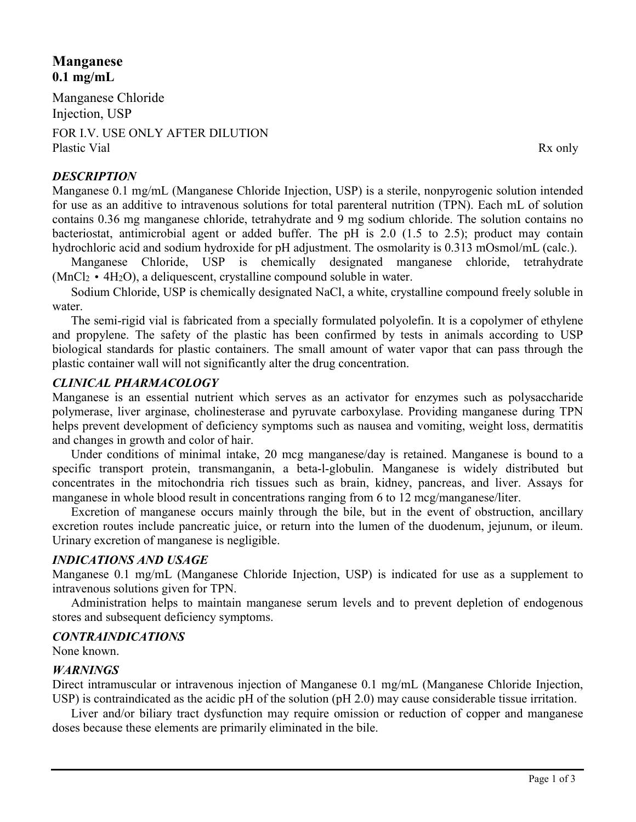# **Manganese 0.1 mg/mL**

Manganese Chloride Injection, USP

FOR I.V. USE ONLY AFTER DILUTION Plastic Vial Rx only

# *DESCRIPTION*

Manganese 0.1 mg/mL (Manganese Chloride Injection, USP) is a sterile, nonpyrogenic solution intended for use as an additive to intravenous solutions for total parenteral nutrition (TPN). Each mL of solution contains 0.36 mg manganese chloride, tetrahydrate and 9 mg sodium chloride. The solution contains no bacteriostat, antimicrobial agent or added buffer. The pH is 2.0 (1.5 to 2.5); product may contain hydrochloric acid and sodium hydroxide for pH adjustment. The osmolarity is 0.313 mOsmol/mL (calc.).

Manganese Chloride, USP is chemically designated manganese chloride, tetrahydrate  $(MnCl<sub>2</sub> \cdot 4H<sub>2</sub>O)$ , a deliquescent, crystalline compound soluble in water.

Sodium Chloride, USP is chemically designated NaCl, a white, crystalline compound freely soluble in water.

The semi-rigid vial is fabricated from a specially formulated polyolefin. It is a copolymer of ethylene and propylene. The safety of the plastic has been confirmed by tests in animals according to USP biological standards for plastic containers. The small amount of water vapor that can pass through the plastic container wall will not significantly alter the drug concentration.

# *CLINICAL PHARMACOLOGY*

Manganese is an essential nutrient which serves as an activator for enzymes such as polysaccharide polymerase, liver arginase, cholinesterase and pyruvate carboxylase. Providing manganese during TPN helps prevent development of deficiency symptoms such as nausea and vomiting, weight loss, dermatitis and changes in growth and color of hair.

Under conditions of minimal intake, 20 mcg manganese/day is retained. Manganese is bound to a specific transport protein, transmanganin, a beta-l-globulin. Manganese is widely distributed but concentrates in the mitochondria rich tissues such as brain, kidney, pancreas, and liver. Assays for manganese in whole blood result in concentrations ranging from 6 to 12 mcg/manganese/liter.

Excretion of manganese occurs mainly through the bile, but in the event of obstruction, ancillary excretion routes include pancreatic juice, or return into the lumen of the duodenum, jejunum, or ileum. Urinary excretion of manganese is negligible.

# *INDICATIONS AND USAGE*

Manganese 0.1 mg/mL (Manganese Chloride Injection, USP) is indicated for use as a supplement to intravenous solutions given for TPN.

Administration helps to maintain manganese serum levels and to prevent depletion of endogenous stores and subsequent deficiency symptoms.

# *CONTRAINDICATIONS*

None known.

# *WARNINGS*

Direct intramuscular or intravenous injection of Manganese 0.1 mg/mL (Manganese Chloride Injection, USP) is contraindicated as the acidic pH of the solution (pH 2.0) may cause considerable tissue irritation.

Liver and/or biliary tract dysfunction may require omission or reduction of copper and manganese doses because these elements are primarily eliminated in the bile.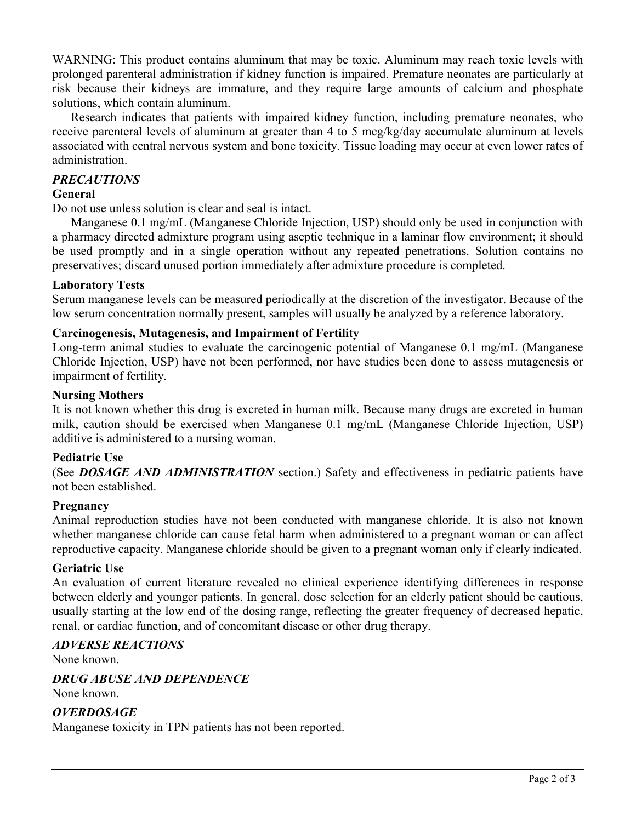WARNING: This product contains aluminum that may be toxic. Aluminum may reach toxic levels with prolonged parenteral administration if kidney function is impaired. Premature neonates are particularly at risk because their kidneys are immature, and they require large amounts of calcium and phosphate solutions, which contain aluminum.

Research indicates that patients with impaired kidney function, including premature neonates, who receive parenteral levels of aluminum at greater than 4 to 5 mcg/kg/day accumulate aluminum at levels associated with central nervous system and bone toxicity. Tissue loading may occur at even lower rates of administration.

### *PRECAUTIONS*

#### **General**

Do not use unless solution is clear and seal is intact.

Manganese 0.1 mg/mL (Manganese Chloride Injection, USP) should only be used in conjunction with a pharmacy directed admixture program using aseptic technique in a laminar flow environment; it should be used promptly and in a single operation without any repeated penetrations. Solution contains no preservatives; discard unused portion immediately after admixture procedure is completed.

### **Laboratory Tests**

Serum manganese levels can be measured periodically at the discretion of the investigator. Because of the low serum concentration normally present, samples will usually be analyzed by a reference laboratory.

### **Carcinogenesis, Mutagenesis, and Impairment of Fertility**

Long-term animal studies to evaluate the carcinogenic potential of Manganese 0.1 mg/mL (Manganese Chloride Injection, USP) have not been performed, nor have studies been done to assess mutagenesis or impairment of fertility.

#### **Nursing Mothers**

It is not known whether this drug is excreted in human milk. Because many drugs are excreted in human milk, caution should be exercised when Manganese 0.1 mg/mL (Manganese Chloride Injection, USP) additive is administered to a nursing woman.

#### **Pediatric Use**

(See *DOSAGE AND ADMINISTRATION* section.) Safety and effectiveness in pediatric patients have not been established.

#### **Pregnancy**

Animal reproduction studies have not been conducted with manganese chloride. It is also not known whether manganese chloride can cause fetal harm when administered to a pregnant woman or can affect reproductive capacity. Manganese chloride should be given to a pregnant woman only if clearly indicated.

#### **Geriatric Use**

An evaluation of current literature revealed no clinical experience identifying differences in response between elderly and younger patients. In general, dose selection for an elderly patient should be cautious, usually starting at the low end of the dosing range, reflecting the greater frequency of decreased hepatic, renal, or cardiac function, and of concomitant disease or other drug therapy.

# *ADVERSE REACTIONS*

None known.

# *DRUG ABUSE AND DEPENDENCE*

None known.

# *OVERDOSAGE*

Manganese toxicity in TPN patients has not been reported.